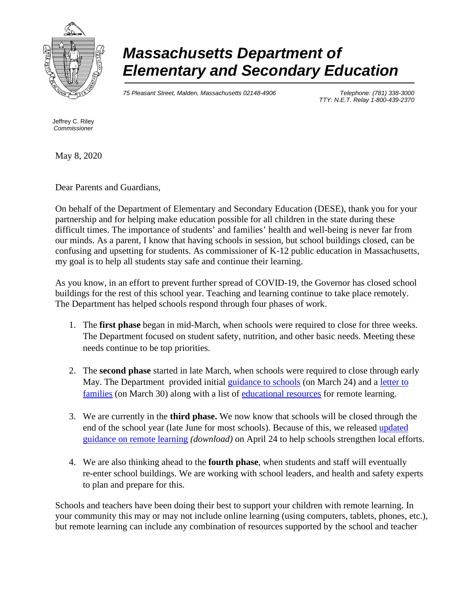

# *Massachusetts Department of Elementary and Secondary Education*

*75 Pleasant Street, Malden, Massachusetts 02148-4906 Telephone: (781) 338-3000* 

*TTY: N.E.T. Relay 1-800-439-2370*

Jeffrey C. Riley *Commissioner*

May 8, 2020

Dear Parents and Guardians,

On behalf of the Department of Elementary and Secondary Education (DESE), thank you for your partnership and for helping make education possible for all children in the state during these difficult times. The importance of students' and families' health and well-being is never far from our minds. As a parent, I know that having schools in session, but school buildings closed, can be confusing and upsetting for students. As commissioner of K-12 public education in Massachusetts, my goal is to help all students stay safe and continue their learning.

As you know, in an effort to prevent further spread of COVID-19, the Governor has closed school buildings for the rest of this school year. Teaching and learning continue to take place remotely. The Department has helped schools respond through four phases of work.

- 1. The **first phase** began in mid-March, when schools were required to close for three weeks. The Department focused on student safety, nutrition, and other basic needs. Meeting these needs continue to be top priorities.
- 2. The **second phase** started in late March, when schools were required to close through early May. The Department provided initial guidance [to schools](http://www.doe.mass.edu/covid19/on-desktop/remote-learning/) (on March 24) and a [letter to](http://www.doe.mass.edu/covid19/family-letter/)  [families](http://www.doe.mass.edu/covid19/family-letter/) (on March 30) along with a list of [educational resources](http://www.doe.mass.edu/covid19/ed-resources.html) for remote learning.
- 3. We are currently in the **third phase.** We now know that schools will be closed through the end of the school year (late June for most schools). Because of this, we released [updated](http://www.doe.mass.edu/covid19/on-desktop/2020-0424updated-remote-learning.docx)  [guidance on](http://www.doe.mass.edu/covid19/on-desktop/2020-0424updated-remote-learning.docx) remote learning *(download)* on April 24 to help schools strengthen local efforts.
- 4. We are also thinking ahead to the **fourth phase**, when students and staff will eventually re-enter school buildings. We are working with school leaders, and health and safety experts to plan and prepare for this.

Schools and teachers have been doing their best to support your children with remote learning. In your community this may or may not include online learning (using computers, tablets, phones, etc.), but remote learning can include any combination of resources supported by the school and teacher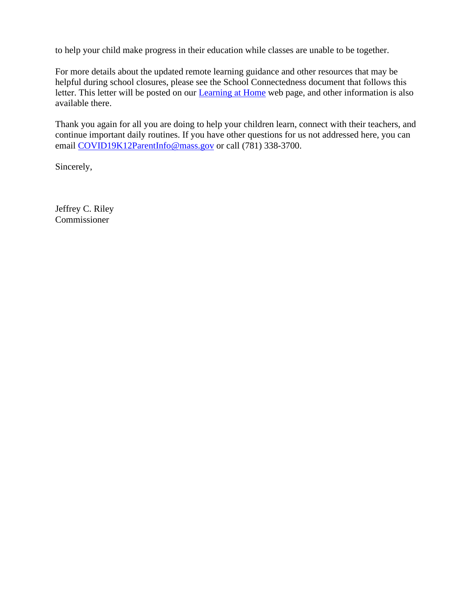to help your child make progress in their education while classes are unable to be together.

For more details about the updated remote learning guidance and other resources that may be helpful during school closures, please see the School Connectedness document that follows this letter. This letter will be posted on our Learning at Home web page, [and other i](http://www.doe.mass.edu/covid19/learn-at-home.html)nformation is also available there.

Thank you again for all you are doing to help your children learn, connect with their teachers, and continue important daily routines. If you have other questions for us not addressed here, you can email [COVID19K12ParentInfo@mass.gov](mailto:COVID19K12ParentInfo@mass.gov) or call (781) 338-3700.

Sincerely,

Jeffrey C. Riley Commissioner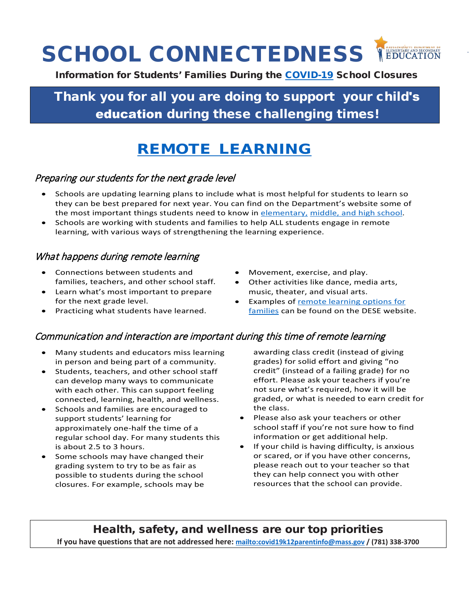

Information for Students' Families During the [COVID-19](http://www.doe.mass.edu/covid19/) School Closures

# Thank you for all you are doing to support your child's education during these challenging times!

# REMOTE [LEARNING](http://www.doe.mass.edu/covid19/learn-at-home.html)

## Preparing our students for the next grade level

- Schools are updating learning plans to include what is most helpful for students to learn so they can be best prepared for next year. You can find on the Department's website some of the most important things students need to know in [elementary,](http://www.doe.mass.edu/covid19/learn-at-home/elementary-prerequisite.docx) [middle, and high school.](http://www.doe.mass.edu/covid19/learn-at-home/secondary-prerequisite.docx)
- Schools are working with students and families to help ALL students engage in remote learning, with various ways of strengthening the learning experience.

## What happens during remote learning

- Connections between students and families, teachers, and other school staff.
- Learn what's most important to prepare for the next grade level.
- Practicing what students have learned.
- Movement, exercise, and play.
- Other activities like dance, media arts, music, theater, and visual arts.
- Examples of [remote learning options for](http://www.doe.mass.edu/covid19/ed-resources.html) [families](http://www.doe.mass.edu/covid19/ed-resources.html) can be found on the DESE website.

## Communication and interaction are important during this time of remote learning

- Many students and educators miss learning in person and being part of a community.
- Students, teachers, and other school staff can develop many ways to communicate with each other. This can support feeling connected, learning, health, and wellness.
- Schools and families are encouraged to support students' learning for approximately one-half the time of a regular school day. For many students this is about 2.5 to 3 hours.
- Some schools may have changed their grading system to try to be as fair as possible to students during the school closures. For example, schools may be

awarding class credit (instead of giving grades) for solid effort and giving "no credit" (instead of a failing grade) for no effort. Please ask your teachers if you're not sure what's required, how it will be graded, or what is needed to earn credit for the class.

- Please also ask your teachers or other school staff if you're not sure how to find information or get additional help.
- If your child is having difficulty, is anxious or scared, or if you have other concerns, please reach out to your teacher so that they can help connect you with other resources that the school can provide.

# Health, safety, and wellness are our top priorities

**If you have questions that are not addressed here:<mailto:covid19k12parentinfo@mass.gov> / (781) 338-3700**